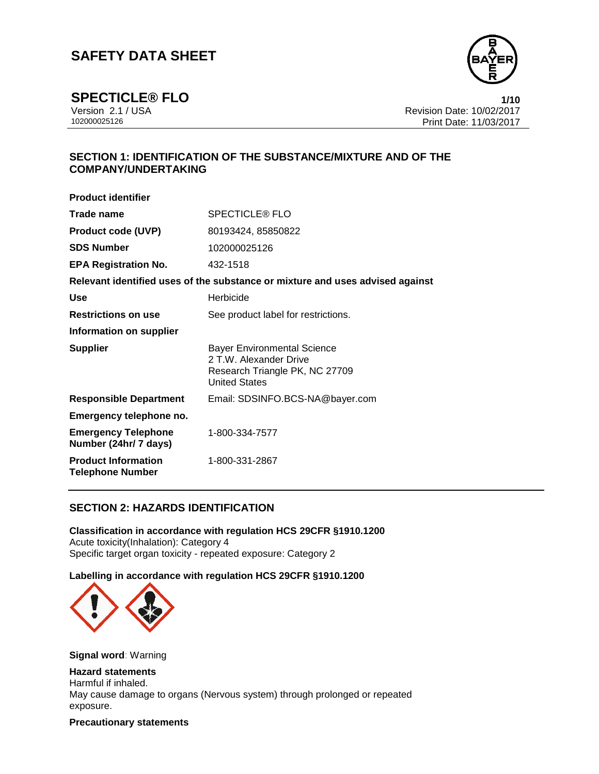

**SPECTICLE® FLO**<br>Version 2.1 / USA **1/10**<br>Revision Date: 10/02/2017 Version 2.1 / USA Revision Date: 10/02/2017<br>102000025126 Print Date: 11/03/2017 Print Date: 11/03/2017

## **SECTION 1: IDENTIFICATION OF THE SUBSTANCE/MIXTURE AND OF THE COMPANY/UNDERTAKING**

| <b>SPECTICLE® FLO</b>                                                                                                  |
|------------------------------------------------------------------------------------------------------------------------|
| 80193424, 85850822                                                                                                     |
| 102000025126                                                                                                           |
| 432-1518                                                                                                               |
| Relevant identified uses of the substance or mixture and uses advised against                                          |
| Herbicide                                                                                                              |
| See product label for restrictions.                                                                                    |
|                                                                                                                        |
| <b>Bayer Environmental Science</b><br>2 T.W. Alexander Drive<br>Research Triangle PK, NC 27709<br><b>United States</b> |
| Email: SDSINFO.BCS-NA@bayer.com                                                                                        |
|                                                                                                                        |
| 1-800-334-7577                                                                                                         |
| 1-800-331-2867                                                                                                         |
|                                                                                                                        |

## **SECTION 2: HAZARDS IDENTIFICATION**

**Classification in accordance with regulation HCS 29CFR §1910.1200** Acute toxicity(Inhalation): Category 4 Specific target organ toxicity - repeated exposure: Category 2

## **Labelling in accordance with regulation HCS 29CFR §1910.1200**



**Signal word**: Warning

#### **Hazard statements**

Harmful if inhaled. May cause damage to organs (Nervous system) through prolonged or repeated exposure.

**Precautionary statements**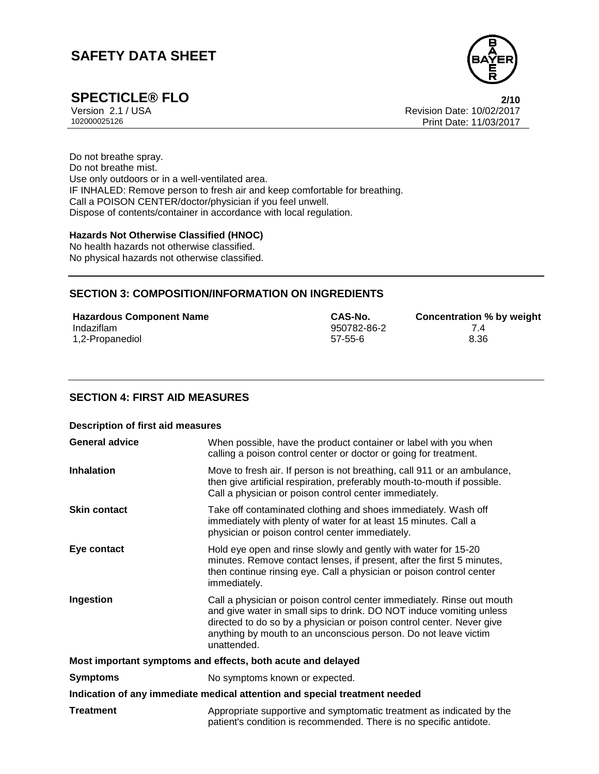

**SPECTICLE® FLO 2/10** Version 2.1 / USA Revision Date: 10/02/2017<br>102000025126 Print Date: 11/03/2017 Print Date: 11/03/2017

Do not breathe spray. Do not breathe mist. Use only outdoors or in a well-ventilated area. IF INHALED: Remove person to fresh air and keep comfortable for breathing. Call a POISON CENTER/doctor/physician if you feel unwell. Dispose of contents/container in accordance with local regulation.

#### **Hazards Not Otherwise Classified (HNOC)**

No health hazards not otherwise classified. No physical hazards not otherwise classified.

## **SECTION 3: COMPOSITION/INFORMATION ON INGREDIENTS**

| <b>Hazardous Component Name</b> | CAS-No.       | Concentration % by weight |
|---------------------------------|---------------|---------------------------|
| Indaziflam                      | 950782-86-2   |                           |
| 1,2-Propanediol                 | $57 - 55 - 6$ | 8.36                      |

## **SECTION 4: FIRST AID MEASURES**

| <b>Description of first aid measures</b>                                   |                                                                                                                                                                                                                                                                                                           |  |
|----------------------------------------------------------------------------|-----------------------------------------------------------------------------------------------------------------------------------------------------------------------------------------------------------------------------------------------------------------------------------------------------------|--|
| <b>General advice</b>                                                      | When possible, have the product container or label with you when<br>calling a poison control center or doctor or going for treatment.                                                                                                                                                                     |  |
| <b>Inhalation</b>                                                          | Move to fresh air. If person is not breathing, call 911 or an ambulance,<br>then give artificial respiration, preferably mouth-to-mouth if possible.<br>Call a physician or poison control center immediately.                                                                                            |  |
| <b>Skin contact</b>                                                        | Take off contaminated clothing and shoes immediately. Wash off<br>immediately with plenty of water for at least 15 minutes. Call a<br>physician or poison control center immediately.                                                                                                                     |  |
| Eye contact                                                                | Hold eye open and rinse slowly and gently with water for 15-20<br>minutes. Remove contact lenses, if present, after the first 5 minutes,<br>then continue rinsing eye. Call a physician or poison control center<br>immediately.                                                                          |  |
| Ingestion                                                                  | Call a physician or poison control center immediately. Rinse out mouth<br>and give water in small sips to drink. DO NOT induce vomiting unless<br>directed to do so by a physician or poison control center. Never give<br>anything by mouth to an unconscious person. Do not leave victim<br>unattended. |  |
| Most important symptoms and effects, both acute and delayed                |                                                                                                                                                                                                                                                                                                           |  |
| <b>Symptoms</b>                                                            | No symptoms known or expected.                                                                                                                                                                                                                                                                            |  |
| Indication of any immediate medical attention and special treatment needed |                                                                                                                                                                                                                                                                                                           |  |
| <b>Treatment</b>                                                           | Appropriate supportive and symptomatic treatment as indicated by the<br>patient's condition is recommended. There is no specific antidote.                                                                                                                                                                |  |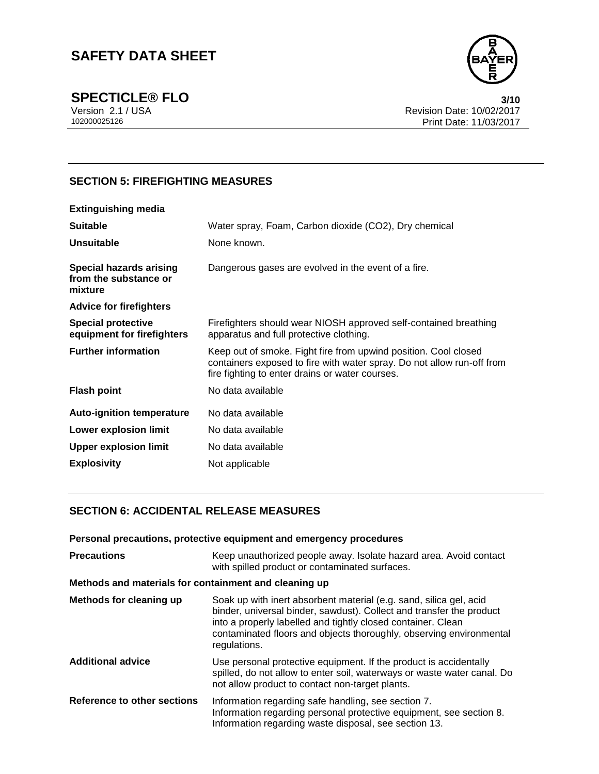

**SPECTICLE® FLO** 3/10<br>Version 2.1 / USA 3/10<br>Revision Date: 10/02/2017 Version 2.1 / USA Revision Date: 10/02/2017<br>102000025126 Print Date: 11/03/2017 Print Date: 11/03/2017

## **SECTION 5: FIREFIGHTING MEASURES**

| <b>Extinguishing media</b>                                         |                                                                                                                                                                                              |
|--------------------------------------------------------------------|----------------------------------------------------------------------------------------------------------------------------------------------------------------------------------------------|
| <b>Suitable</b>                                                    | Water spray, Foam, Carbon dioxide (CO2), Dry chemical                                                                                                                                        |
| <b>Unsuitable</b>                                                  | None known.                                                                                                                                                                                  |
| <b>Special hazards arising</b><br>from the substance or<br>mixture | Dangerous gases are evolved in the event of a fire.                                                                                                                                          |
| <b>Advice for firefighters</b>                                     |                                                                                                                                                                                              |
| <b>Special protective</b><br>equipment for firefighters            | Firefighters should wear NIOSH approved self-contained breathing<br>apparatus and full protective clothing.                                                                                  |
| <b>Further information</b>                                         | Keep out of smoke. Fight fire from upwind position. Cool closed<br>containers exposed to fire with water spray. Do not allow run-off from<br>fire fighting to enter drains or water courses. |
| <b>Flash point</b>                                                 | No data available                                                                                                                                                                            |
| <b>Auto-ignition temperature</b>                                   | No data available                                                                                                                                                                            |
| Lower explosion limit                                              | No data available                                                                                                                                                                            |
| <b>Upper explosion limit</b>                                       | No data available                                                                                                                                                                            |
| <b>Explosivity</b>                                                 | Not applicable                                                                                                                                                                               |

## **SECTION 6: ACCIDENTAL RELEASE MEASURES**

| Personal precautions, protective equipment and emergency procedures |                                                                                                                                                                                                                                                                                                   |  |
|---------------------------------------------------------------------|---------------------------------------------------------------------------------------------------------------------------------------------------------------------------------------------------------------------------------------------------------------------------------------------------|--|
| <b>Precautions</b>                                                  | Keep unauthorized people away. Isolate hazard area. Avoid contact<br>with spilled product or contaminated surfaces.                                                                                                                                                                               |  |
| Methods and materials for containment and cleaning up               |                                                                                                                                                                                                                                                                                                   |  |
| Methods for cleaning up                                             | Soak up with inert absorbent material (e.g. sand, silica gel, acid<br>binder, universal binder, sawdust). Collect and transfer the product<br>into a properly labelled and tightly closed container. Clean<br>contaminated floors and objects thoroughly, observing environmental<br>regulations. |  |
| <b>Additional advice</b>                                            | Use personal protective equipment. If the product is accidentally<br>spilled, do not allow to enter soil, waterways or waste water canal. Do<br>not allow product to contact non-target plants.                                                                                                   |  |
| Reference to other sections                                         | Information regarding safe handling, see section 7.<br>Information regarding personal protective equipment, see section 8.<br>Information regarding waste disposal, see section 13.                                                                                                               |  |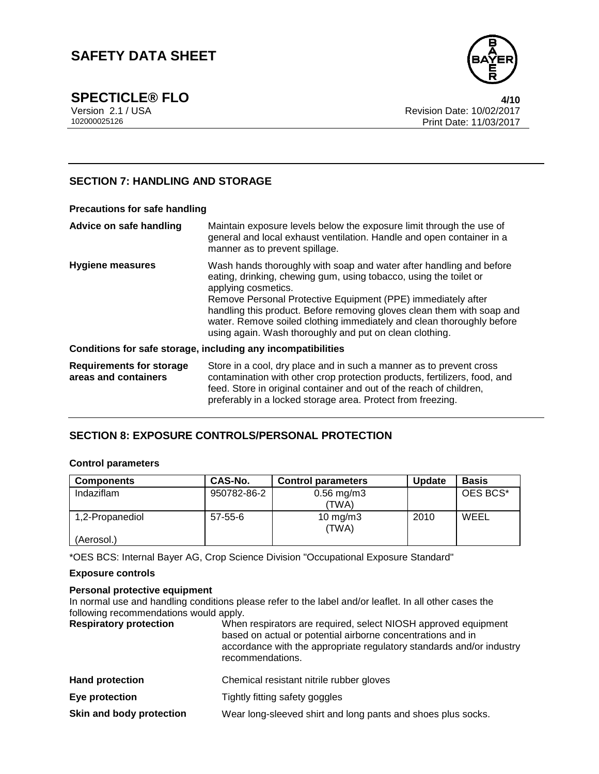

**SPECTICLE® FLO**<br>Version 2.1 / USA 4/10<br>Revision Date: 10/02/2017 Version 2.1 / USA Revision Date: 10/02/2017<br>102000025126 Print Date: 11/03/2017 Print Date: 11/03/2017

### **SECTION 7: HANDLING AND STORAGE**

| <b>Precautions for safe handling</b>                         |                                                                                                                                                                                                                                                                                                                                                                                                                                               |  |
|--------------------------------------------------------------|-----------------------------------------------------------------------------------------------------------------------------------------------------------------------------------------------------------------------------------------------------------------------------------------------------------------------------------------------------------------------------------------------------------------------------------------------|--|
| Advice on safe handling                                      | Maintain exposure levels below the exposure limit through the use of<br>general and local exhaust ventilation. Handle and open container in a<br>manner as to prevent spillage.                                                                                                                                                                                                                                                               |  |
| <b>Hygiene measures</b>                                      | Wash hands thoroughly with soap and water after handling and before<br>eating, drinking, chewing gum, using tobacco, using the toilet or<br>applying cosmetics.<br>Remove Personal Protective Equipment (PPE) immediately after<br>handling this product. Before removing gloves clean them with soap and<br>water. Remove soiled clothing immediately and clean thoroughly before<br>using again. Wash thoroughly and put on clean clothing. |  |
| Conditions for safe storage, including any incompatibilities |                                                                                                                                                                                                                                                                                                                                                                                                                                               |  |
| <b>Requirements for storage</b><br>areas and containers      | Store in a cool, dry place and in such a manner as to prevent cross<br>contamination with other crop protection products, fertilizers, food, and<br>feed. Store in original container and out of the reach of children,<br>preferably in a locked storage area. Protect from freezing.                                                                                                                                                        |  |

## **SECTION 8: EXPOSURE CONTROLS/PERSONAL PROTECTION**

#### **Control parameters**

| <b>Components</b> | CAS-No.       | <b>Control parameters</b> | <b>Update</b> | <b>Basis</b> |
|-------------------|---------------|---------------------------|---------------|--------------|
| Indaziflam        | 950782-86-2   | $0.56$ mg/m3              |               | OES BCS*     |
|                   |               | (TWA)                     |               |              |
| 1,2-Propanediol   | $57 - 55 - 6$ | $10$ mg/m $3$<br>(TWA)    | 2010          | WEEL         |
| (Aerosol.)        |               |                           |               |              |

\*OES BCS: Internal Bayer AG, Crop Science Division "Occupational Exposure Standard"

#### **Exposure controls**

#### **Personal protective equipment**

In normal use and handling conditions please refer to the label and/or leaflet. In all other cases the following recommendations would apply.<br> **Respiratory protection** When

When respirators are required, select NIOSH approved equipment based on actual or potential airborne concentrations and in accordance with the appropriate regulatory standards and/or industry recommendations.

| <b>Hand protection</b>   | Chemical resistant nitrile rubber gloves                     |
|--------------------------|--------------------------------------------------------------|
| Eye protection           | Tightly fitting safety goggles                               |
| Skin and body protection | Wear long-sleeved shirt and long pants and shoes plus socks. |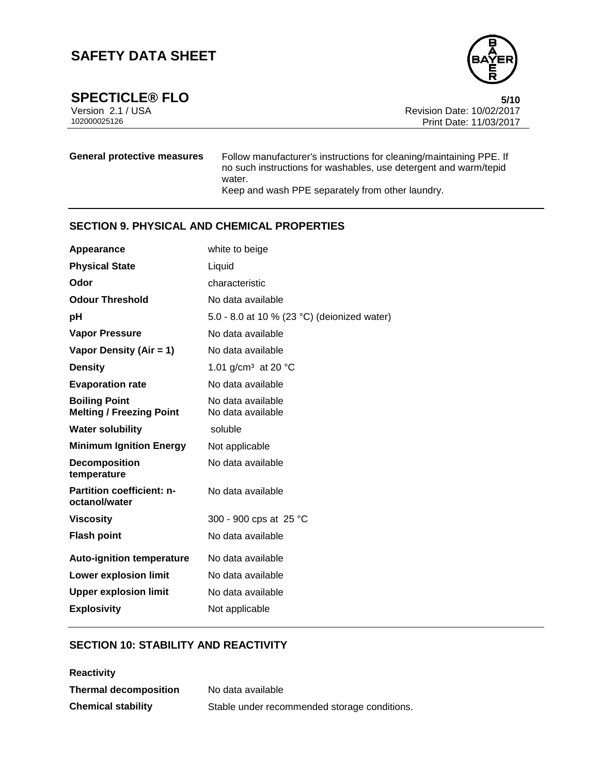

**SPECTICLE® FLO** 5/10<br>Version 2.1 / USA 6/10 Version 2.1 / USA Revision Date: 10/02/2017<br>102000025126 Print Date: 11/03/2017 Print Date: 11/03/2017

**General protective measures** Follow manufacturer's instructions for cleaning/maintaining PPE. If no such instructions for washables, use detergent and warm/tepid water. Keep and wash PPE separately from other laundry.

## **SECTION 9. PHYSICAL AND CHEMICAL PROPERTIES**

| Appearance                                              | white to beige                              |
|---------------------------------------------------------|---------------------------------------------|
| <b>Physical State</b>                                   | Liquid                                      |
| Odor                                                    | characteristic                              |
| <b>Odour Threshold</b>                                  | No data available                           |
| рH                                                      | 5.0 - 8.0 at 10 % (23 °C) (deionized water) |
| <b>Vapor Pressure</b>                                   | No data available                           |
| Vapor Density (Air = 1)                                 | No data available                           |
| <b>Density</b>                                          | 1.01 g/cm <sup>3</sup> at 20 $^{\circ}$ C   |
| <b>Evaporation rate</b>                                 | No data available                           |
| <b>Boiling Point</b><br><b>Melting / Freezing Point</b> | No data available<br>No data available      |
| <b>Water solubility</b>                                 | soluble                                     |
| <b>Minimum Ignition Energy</b>                          | Not applicable                              |
| <b>Decomposition</b><br>temperature                     | No data available                           |
| <b>Partition coefficient: n-</b><br>octanol/water       | No data available                           |
| <b>Viscosity</b>                                        | 300 - 900 cps at 25 °C                      |
| <b>Flash point</b>                                      | No data available                           |
| <b>Auto-ignition temperature</b>                        | No data available                           |
| <b>Lower explosion limit</b>                            | No data available                           |
| <b>Upper explosion limit</b>                            | No data available                           |
| <b>Explosivity</b>                                      | Not applicable                              |
|                                                         |                                             |

## **SECTION 10: STABILITY AND REACTIVITY**

| <b>Reactivity</b>            |                                              |
|------------------------------|----------------------------------------------|
| <b>Thermal decomposition</b> | No data available                            |
| <b>Chemical stability</b>    | Stable under recommended storage conditions. |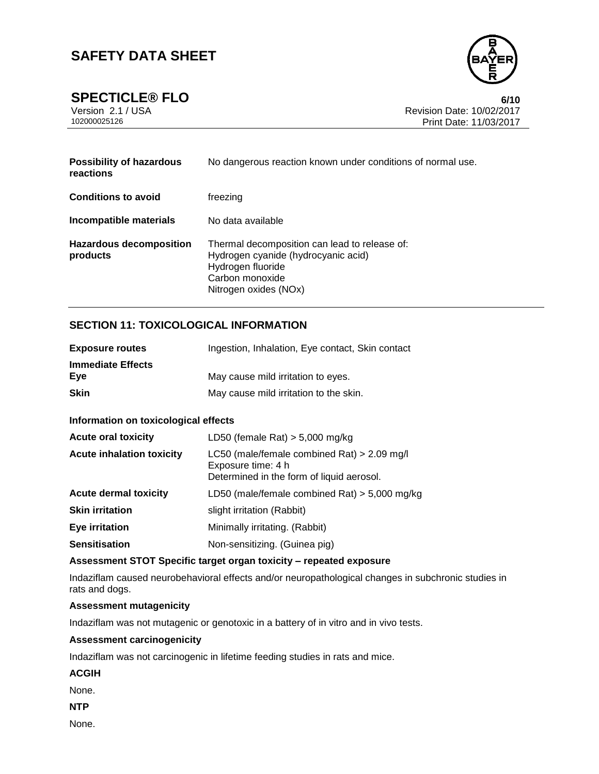

**SPECTICLE® FLO** 6/10<br>Version 2.1 / USA 6/10<br>Revision Date: 10/02/2017 Version 2.1 / USA Revision Date: 10/02/2017<br>102000025126 Print Date: 11/03/2017 Print Date: 11/03/2017

| <b>Possibility of hazardous</b><br>reactions | No dangerous reaction known under conditions of normal use.                                                                                           |
|----------------------------------------------|-------------------------------------------------------------------------------------------------------------------------------------------------------|
| <b>Conditions to avoid</b>                   | freezing                                                                                                                                              |
| Incompatible materials                       | No data available                                                                                                                                     |
| Hazardous decomposition<br>products          | Thermal decomposition can lead to release of:<br>Hydrogen cyanide (hydrocyanic acid)<br>Hydrogen fluoride<br>Carbon monoxide<br>Nitrogen oxides (NOx) |

## **SECTION 11: TOXICOLOGICAL INFORMATION**

| <b>Exposure routes</b>   | Ingestion, Inhalation, Eye contact, Skin contact |
|--------------------------|--------------------------------------------------|
| <b>Immediate Effects</b> |                                                  |
| Eve                      | May cause mild irritation to eyes.               |
| <b>Skin</b>              | May cause mild irritation to the skin.           |

#### **Information on toxicological effects**

| <b>Acute oral toxicity</b>       | LD50 (female Rat) $>$ 5,000 mg/kg                                                                              |
|----------------------------------|----------------------------------------------------------------------------------------------------------------|
| <b>Acute inhalation toxicity</b> | LC50 (male/female combined Rat) > 2.09 mg/l<br>Exposure time: 4 h<br>Determined in the form of liquid aerosol. |
| <b>Acute dermal toxicity</b>     | LD50 (male/female combined Rat) $>$ 5,000 mg/kg                                                                |
| <b>Skin irritation</b>           | slight irritation (Rabbit)                                                                                     |
| <b>Eye irritation</b>            | Minimally irritating. (Rabbit)                                                                                 |
| <b>Sensitisation</b>             | Non-sensitizing. (Guinea pig)                                                                                  |

#### **Assessment STOT Specific target organ toxicity – repeated exposure**

Indaziflam caused neurobehavioral effects and/or neuropathological changes in subchronic studies in rats and dogs.

#### **Assessment mutagenicity**

Indaziflam was not mutagenic or genotoxic in a battery of in vitro and in vivo tests.

#### **Assessment carcinogenicity**

Indaziflam was not carcinogenic in lifetime feeding studies in rats and mice.

**ACGIH**

None.

**NTP**

None.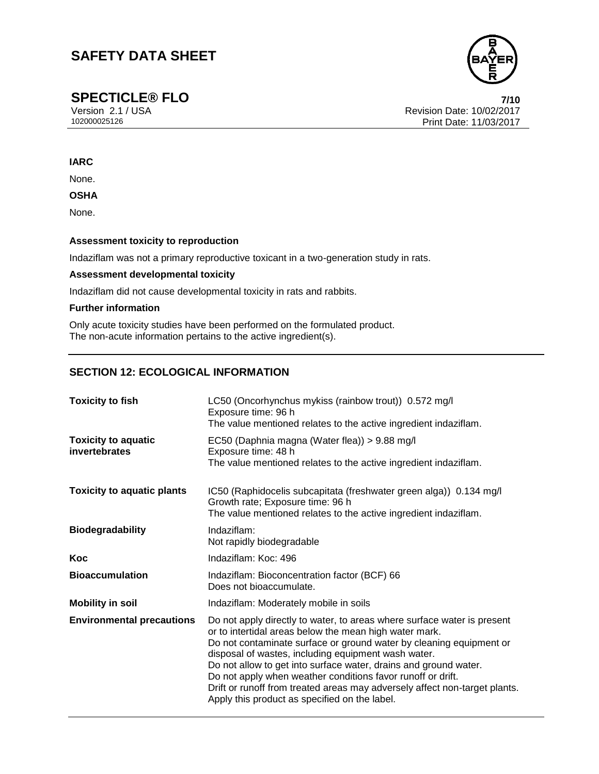

**SPECTICLE® FLO**<br>Version 2.1/USA **7/10**<br>Revision Date: 10/02/2017 Version 2.1 / USA Revision Date: 10/02/2017<br>102000025126 Print Date: 11/03/2017 Print Date: 11/03/2017

#### **IARC**

None.

#### **OSHA**

None.

#### **Assessment toxicity to reproduction**

Indaziflam was not a primary reproductive toxicant in a two-generation study in rats.

#### **Assessment developmental toxicity**

Indaziflam did not cause developmental toxicity in rats and rabbits.

#### **Further information**

Only acute toxicity studies have been performed on the formulated product. The non-acute information pertains to the active ingredient(s).

## **SECTION 12: ECOLOGICAL INFORMATION**

| <b>Toxicity to fish</b>                     | LC50 (Oncorhynchus mykiss (rainbow trout)) 0.572 mg/l<br>Exposure time: 96 h<br>The value mentioned relates to the active ingredient indaziflam.                                                                                                                                                                                                                                                                                                                                                                                  |
|---------------------------------------------|-----------------------------------------------------------------------------------------------------------------------------------------------------------------------------------------------------------------------------------------------------------------------------------------------------------------------------------------------------------------------------------------------------------------------------------------------------------------------------------------------------------------------------------|
| <b>Toxicity to aquatic</b><br>invertebrates | EC50 (Daphnia magna (Water flea)) > 9.88 mg/l<br>Exposure time: 48 h<br>The value mentioned relates to the active ingredient indaziflam.                                                                                                                                                                                                                                                                                                                                                                                          |
| <b>Toxicity to aquatic plants</b>           | IC50 (Raphidocelis subcapitata (freshwater green alga)) 0.134 mg/l<br>Growth rate; Exposure time: 96 h<br>The value mentioned relates to the active ingredient indaziflam.                                                                                                                                                                                                                                                                                                                                                        |
| <b>Biodegradability</b>                     | Indaziflam:<br>Not rapidly biodegradable                                                                                                                                                                                                                                                                                                                                                                                                                                                                                          |
| Koc                                         | Indaziflam: Koc: 496                                                                                                                                                                                                                                                                                                                                                                                                                                                                                                              |
| <b>Bioaccumulation</b>                      | Indaziflam: Bioconcentration factor (BCF) 66<br>Does not bioaccumulate.                                                                                                                                                                                                                                                                                                                                                                                                                                                           |
| <b>Mobility in soil</b>                     | Indaziflam: Moderately mobile in soils                                                                                                                                                                                                                                                                                                                                                                                                                                                                                            |
| <b>Environmental precautions</b>            | Do not apply directly to water, to areas where surface water is present<br>or to intertidal areas below the mean high water mark.<br>Do not contaminate surface or ground water by cleaning equipment or<br>disposal of wastes, including equipment wash water.<br>Do not allow to get into surface water, drains and ground water.<br>Do not apply when weather conditions favor runoff or drift.<br>Drift or runoff from treated areas may adversely affect non-target plants.<br>Apply this product as specified on the label. |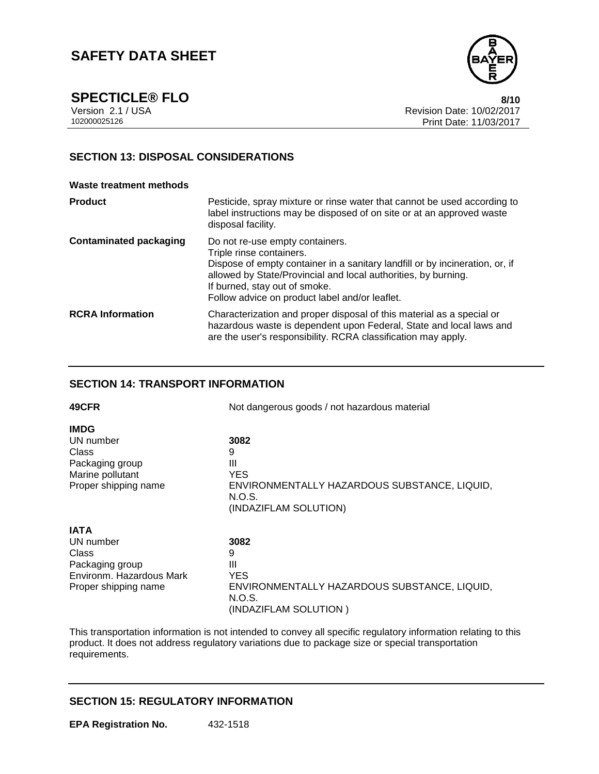

**SPECTICLE® FLO** 8/10<br>Version 2.1 / USA 8/10<br>Revision Date: 10/02/2017 Version 2.1 / USA Revision Date: 10/02/2017<br>102000025126 Print Date: 11/03/2017 Print Date: 11/03/2017

## **SECTION 13: DISPOSAL CONSIDERATIONS**

#### **Waste treatment methods**

| <b>Product</b>                | Pesticide, spray mixture or rinse water that cannot be used according to<br>label instructions may be disposed of on site or at an approved waste<br>disposal facility.                                                                                                                          |
|-------------------------------|--------------------------------------------------------------------------------------------------------------------------------------------------------------------------------------------------------------------------------------------------------------------------------------------------|
| <b>Contaminated packaging</b> | Do not re-use empty containers.<br>Triple rinse containers.<br>Dispose of empty container in a sanitary landfill or by incineration, or, if<br>allowed by State/Provincial and local authorities, by burning.<br>If burned, stay out of smoke.<br>Follow advice on product label and/or leaflet. |
| <b>RCRA</b> Information       | Characterization and proper disposal of this material as a special or<br>hazardous waste is dependent upon Federal, State and local laws and<br>are the user's responsibility. RCRA classification may apply.                                                                                    |

### **SECTION 14: TRANSPORT INFORMATION**

| 49CFR                                    | Not dangerous goods / not hazardous material                                           |
|------------------------------------------|----------------------------------------------------------------------------------------|
| <b>IMDG</b>                              |                                                                                        |
| UN number                                | 3082                                                                                   |
| Class                                    | 9                                                                                      |
| Packaging group                          | Ш                                                                                      |
| Marine pollutant<br>Proper shipping name | YES<br>ENVIRONMENTALLY HAZARDOUS SUBSTANCE, LIQUID,<br>N.O.S.<br>(INDAZIFLAM SOLUTION) |
| <b>IATA</b>                              |                                                                                        |
| UN number                                | 3082                                                                                   |
| Class                                    | 9                                                                                      |
| Packaging group                          | Ш                                                                                      |
| Environm. Hazardous Mark                 | <b>YES</b>                                                                             |
| Proper shipping name                     | ENVIRONMENTALLY HAZARDOUS SUBSTANCE, LIQUID,<br>N.O.S.                                 |
|                                          | (INDAZIFLAM SOLUTION )                                                                 |

This transportation information is not intended to convey all specific regulatory information relating to this product. It does not address regulatory variations due to package size or special transportation requirements.

### **SECTION 15: REGULATORY INFORMATION**

**EPA Registration No.** 432-1518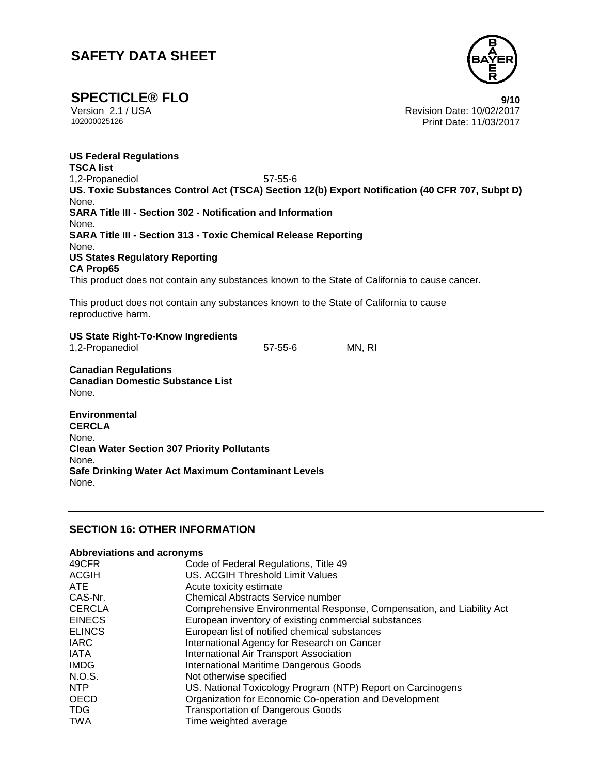

**SPECTICLE® FLO 9/10**

Version 2.1 / USA Revision Date: 10/02/2017<br>102000025126 Print Date: 11/03/2017 Print Date: 11/03/2017

**US Federal Regulations TSCA list** 1,2-Propanediol 57-55-6 **US. Toxic Substances Control Act (TSCA) Section 12(b) Export Notification (40 CFR 707, Subpt D)** None. **SARA Title III - Section 302 - Notification and Information** None. **SARA Title III - Section 313 - Toxic Chemical Release Reporting** None. **US States Regulatory Reporting CA Prop65** This product does not contain any substances known to the State of California to cause cancer. This product does not contain any substances known to the State of California to cause reproductive harm. **US State Right-To-Know Ingredients** 1,2-Propanediol 57-55-6 MN, RI **Canadian Regulations**

**Canadian Domestic Substance List** None.

**Environmental CERCLA** None. **Clean Water Section 307 Priority Pollutants** None. **Safe Drinking Water Act Maximum Contaminant Levels** None.

## **SECTION 16: OTHER INFORMATION**

#### **Abbreviations and acronyms**

| 49CFR         | Code of Federal Regulations, Title 49                                 |
|---------------|-----------------------------------------------------------------------|
| <b>ACGIH</b>  | US. ACGIH Threshold Limit Values                                      |
| ATE.          | Acute toxicity estimate                                               |
| CAS-Nr.       | <b>Chemical Abstracts Service number</b>                              |
| <b>CERCLA</b> | Comprehensive Environmental Response, Compensation, and Liability Act |
| <b>EINECS</b> | European inventory of existing commercial substances                  |
| <b>ELINCS</b> | European list of notified chemical substances                         |
| <b>IARC</b>   | International Agency for Research on Cancer                           |
| IATA          | International Air Transport Association                               |
| <b>IMDG</b>   | <b>International Maritime Dangerous Goods</b>                         |
| N.O.S.        | Not otherwise specified                                               |
| NTP           | US. National Toxicology Program (NTP) Report on Carcinogens           |
| <b>OECD</b>   | Organization for Economic Co-operation and Development                |
| <b>TDG</b>    | <b>Transportation of Dangerous Goods</b>                              |
| <b>TWA</b>    | Time weighted average                                                 |